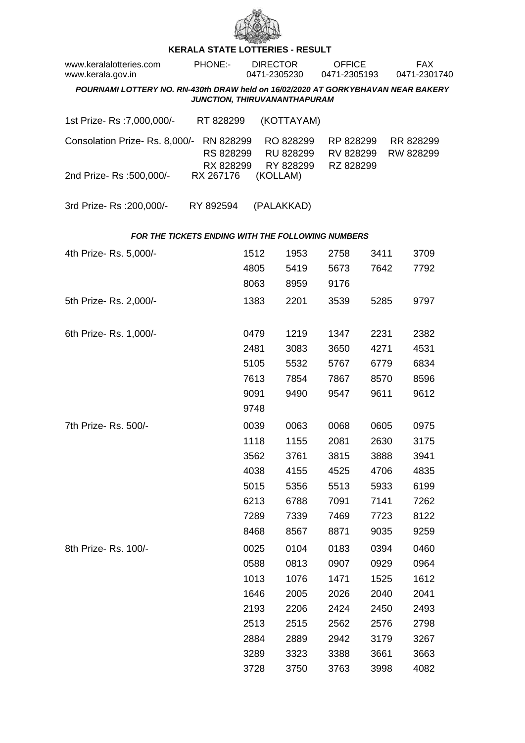

## **KERALA STATE LOTTERIES - RESULT**

| www.keralalotteries.com<br>www.kerala.gov.in                                                                     |  | <b>PHONE:-</b>                      |              | <b>DIRECTOR</b><br>0471-2305230 |                                     | <b>OFFICE</b><br>0471-2305193       |      |  | FAX.<br>0471-2301740   |  |  |  |
|------------------------------------------------------------------------------------------------------------------|--|-------------------------------------|--------------|---------------------------------|-------------------------------------|-------------------------------------|------|--|------------------------|--|--|--|
| POURNAMI LOTTERY NO. RN-430th DRAW held on 16/02/2020 AT GORKYBHAVAN NEAR BAKERY<br>JUNCTION, THIRUVANANTHAPURAM |  |                                     |              |                                 |                                     |                                     |      |  |                        |  |  |  |
| 1st Prize-Rs : 7,000,000/-                                                                                       |  | RT 828299                           |              |                                 | (KOTTAYAM)                          |                                     |      |  |                        |  |  |  |
| Consolation Prize-Rs. 8,000/-                                                                                    |  | RN 828299<br>RS 828299<br>RX 828299 |              |                                 | RO 828299<br>RU 828299<br>RY 828299 | RP 828299<br>RV 828299<br>RZ 828299 |      |  | RR 828299<br>RW 828299 |  |  |  |
| 2nd Prize-Rs :500,000/-                                                                                          |  | RX 267176                           |              | (KOLLAM)                        |                                     |                                     |      |  |                        |  |  |  |
| 3rd Prize-Rs : 200,000/-                                                                                         |  | RY 892594                           |              |                                 | (PALAKKAD)                          |                                     |      |  |                        |  |  |  |
| <b>FOR THE TICKETS ENDING WITH THE FOLLOWING NUMBERS</b>                                                         |  |                                     |              |                                 |                                     |                                     |      |  |                        |  |  |  |
| 4th Prize-Rs. 5,000/-                                                                                            |  |                                     | 1512         |                                 | 1953                                | 2758                                | 3411 |  | 3709                   |  |  |  |
|                                                                                                                  |  |                                     | 4805         |                                 | 5419                                | 5673                                | 7642 |  | 7792                   |  |  |  |
|                                                                                                                  |  |                                     | 8063         |                                 | 8959                                | 9176                                |      |  |                        |  |  |  |
| 5th Prize-Rs. 2,000/-                                                                                            |  |                                     | 1383         |                                 | 2201                                | 3539                                | 5285 |  | 9797                   |  |  |  |
| 6th Prize-Rs. 1,000/-                                                                                            |  |                                     | 0479         |                                 | 1219                                | 1347                                | 2231 |  | 2382                   |  |  |  |
|                                                                                                                  |  |                                     | 2481         |                                 | 3083                                | 3650                                | 4271 |  | 4531                   |  |  |  |
|                                                                                                                  |  |                                     | 5105         |                                 | 5532                                | 5767                                | 6779 |  | 6834                   |  |  |  |
|                                                                                                                  |  |                                     | 7613         |                                 | 7854                                | 7867                                | 8570 |  | 8596                   |  |  |  |
|                                                                                                                  |  |                                     | 9091<br>9748 |                                 | 9490                                | 9547                                | 9611 |  | 9612                   |  |  |  |
|                                                                                                                  |  |                                     |              |                                 |                                     |                                     |      |  |                        |  |  |  |
| 7th Prize-Rs. 500/-                                                                                              |  |                                     | 0039         |                                 | 0063                                | 0068                                | 0605 |  | 0975                   |  |  |  |
|                                                                                                                  |  |                                     | 1118         |                                 | 1155                                | 2081                                | 2630 |  | 3175                   |  |  |  |
|                                                                                                                  |  |                                     | 3562         |                                 | 3761                                | 3815                                | 3888 |  | 3941                   |  |  |  |
|                                                                                                                  |  |                                     | 4038         |                                 | 4155                                | 4525                                | 4706 |  | 4835                   |  |  |  |
|                                                                                                                  |  |                                     | 5015         |                                 | 5356                                | 5513                                | 5933 |  | 6199                   |  |  |  |
|                                                                                                                  |  |                                     | 6213         |                                 | 6788                                | 7091                                | 7141 |  | 7262                   |  |  |  |
|                                                                                                                  |  |                                     | 7289         |                                 | 7339                                | 7469                                | 7723 |  | 8122                   |  |  |  |
|                                                                                                                  |  |                                     | 8468         |                                 | 8567                                | 8871                                | 9035 |  | 9259                   |  |  |  |
| 8th Prize-Rs. 100/-                                                                                              |  |                                     | 0025         |                                 | 0104                                | 0183                                | 0394 |  | 0460                   |  |  |  |
|                                                                                                                  |  |                                     | 0588         |                                 | 0813                                | 0907                                | 0929 |  | 0964                   |  |  |  |
|                                                                                                                  |  |                                     | 1013         |                                 | 1076                                | 1471                                | 1525 |  | 1612                   |  |  |  |
|                                                                                                                  |  |                                     | 1646         |                                 | 2005                                | 2026                                | 2040 |  | 2041                   |  |  |  |
|                                                                                                                  |  |                                     | 2193         |                                 | 2206                                | 2424                                | 2450 |  | 2493                   |  |  |  |
|                                                                                                                  |  |                                     | 2513         |                                 | 2515                                | 2562                                | 2576 |  | 2798                   |  |  |  |
|                                                                                                                  |  |                                     | 2884         |                                 | 2889                                | 2942                                | 3179 |  | 3267                   |  |  |  |
|                                                                                                                  |  |                                     | 3289         |                                 | 3323                                | 3388                                | 3661 |  | 3663                   |  |  |  |
|                                                                                                                  |  |                                     | 3728         |                                 | 3750                                | 3763                                | 3998 |  | 4082                   |  |  |  |